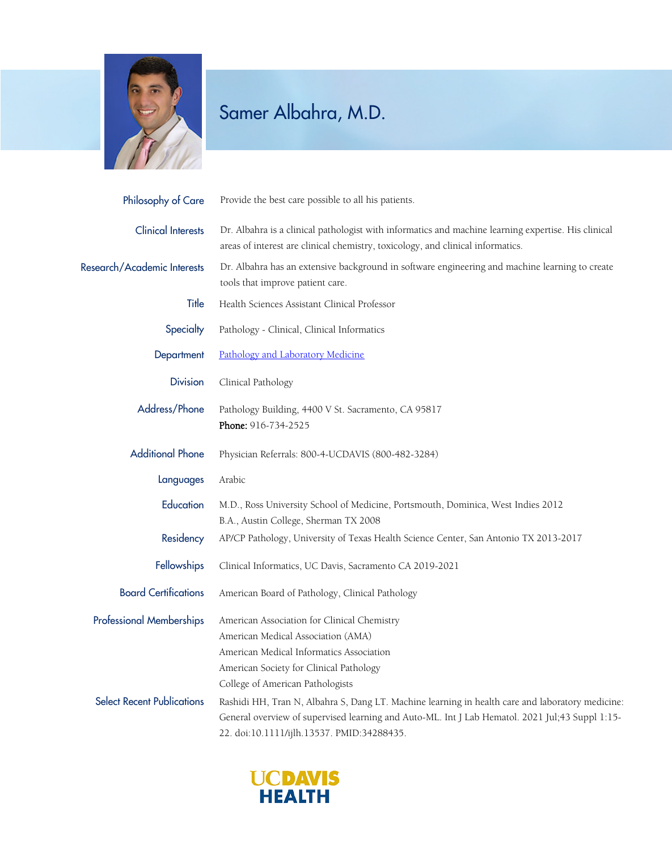

## Samer Albahra, M.D.

| Philosophy of Care                | Provide the best care possible to all his patients.                                                                                                                                                                                               |
|-----------------------------------|---------------------------------------------------------------------------------------------------------------------------------------------------------------------------------------------------------------------------------------------------|
| <b>Clinical Interests</b>         | Dr. Albahra is a clinical pathologist with informatics and machine learning expertise. His clinical<br>areas of interest are clinical chemistry, toxicology, and clinical informatics.                                                            |
| Research/Academic Interests       | Dr. Albahra has an extensive background in software engineering and machine learning to create<br>tools that improve patient care.                                                                                                                |
| Title                             | Health Sciences Assistant Clinical Professor                                                                                                                                                                                                      |
| Specialty                         | Pathology - Clinical, Clinical Informatics                                                                                                                                                                                                        |
| Department                        | Pathology and Laboratory Medicine                                                                                                                                                                                                                 |
| <b>Division</b>                   | Clinical Pathology                                                                                                                                                                                                                                |
| Address/Phone                     | Pathology Building, 4400 V St. Sacramento, CA 95817<br>Phone: 916-734-2525                                                                                                                                                                        |
| <b>Additional Phone</b>           | Physician Referrals: 800-4-UCDAVIS (800-482-3284)                                                                                                                                                                                                 |
| Languages                         | Arabic                                                                                                                                                                                                                                            |
| Education                         | M.D., Ross University School of Medicine, Portsmouth, Dominica, West Indies 2012<br>B.A., Austin College, Sherman TX 2008                                                                                                                         |
| Residency                         | AP/CP Pathology, University of Texas Health Science Center, San Antonio TX 2013-2017                                                                                                                                                              |
| <b>Fellowships</b>                | Clinical Informatics, UC Davis, Sacramento CA 2019-2021                                                                                                                                                                                           |
| <b>Board Certifications</b>       | American Board of Pathology, Clinical Pathology                                                                                                                                                                                                   |
| <b>Professional Memberships</b>   | American Association for Clinical Chemistry<br>American Medical Association (AMA)<br>American Medical Informatics Association<br>American Society for Clinical Pathology<br>College of American Pathologists                                      |
| <b>Select Recent Publications</b> | Rashidi HH, Tran N, Albahra S, Dang LT. Machine learning in health care and laboratory medicine:<br>General overview of supervised learning and Auto-ML. Int J Lab Hematol. 2021 Jul;43 Suppl 1:15-<br>22. doi:10.1111/ijlh.13537. PMID:34288435. |